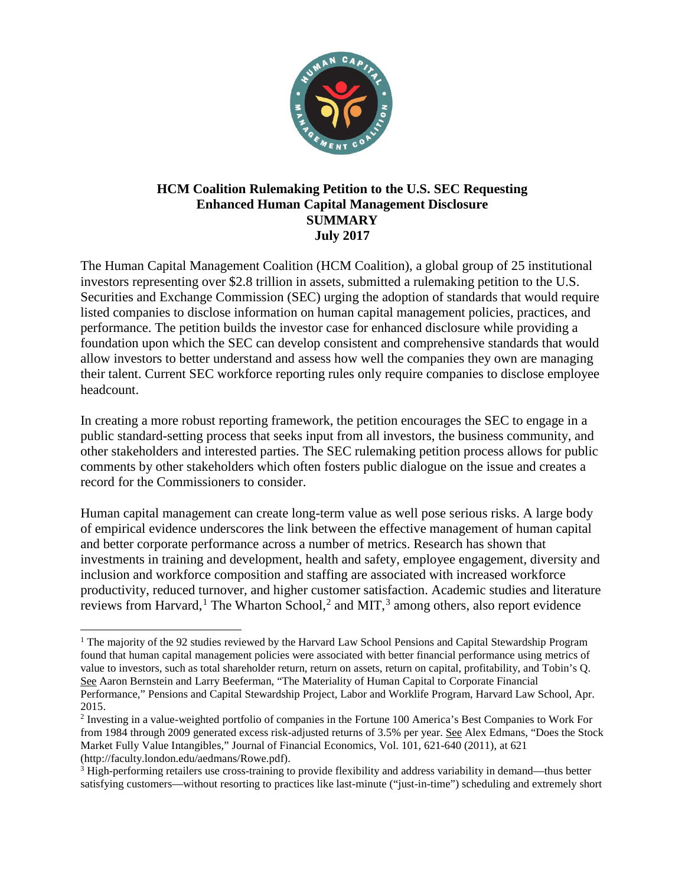

## **HCM Coalition Rulemaking Petition to the U.S. SEC Requesting Enhanced Human Capital Management Disclosure SUMMARY July 2017**

The Human Capital Management Coalition (HCM Coalition), a global group of 25 institutional investors representing over \$2.8 trillion in assets, submitted a rulemaking petition to the U.S. Securities and Exchange Commission (SEC) urging the adoption of standards that would require listed companies to disclose information on human capital management policies, practices, and performance. The petition builds the investor case for enhanced disclosure while providing a foundation upon which the SEC can develop consistent and comprehensive standards that would allow investors to better understand and assess how well the companies they own are managing their talent. Current SEC workforce reporting rules only require companies to disclose employee headcount.

In creating a more robust reporting framework, the petition encourages the SEC to engage in a public standard-setting process that seeks input from all investors, the business community, and other stakeholders and interested parties. The SEC rulemaking petition process allows for public comments by other stakeholders which often fosters public dialogue on the issue and creates a record for the Commissioners to consider.

Human capital management can create long-term value as well pose serious risks. A large body of empirical evidence underscores the link between the effective management of human capital and better corporate performance across a number of metrics. Research has shown that investments in training and development, health and safety, employee engagement, diversity and inclusion and workforce composition and staffing are associated with increased workforce productivity, reduced turnover, and higher customer satisfaction. Academic studies and literature reviews from Harvard,<sup>[1](#page-0-0)</sup> The Wharton School,<sup>[2](#page-0-1)</sup> and MIT,<sup>[3](#page-0-2)</sup> among others, also report evidence

 $\overline{\phantom{a}}$ 

<span id="page-0-0"></span><sup>&</sup>lt;sup>1</sup> The majority of the 92 studies reviewed by the Harvard Law School Pensions and Capital Stewardship Program found that human capital management policies were associated with better financial performance using metrics of value to investors, such as total shareholder return, return on assets, return on capital, profitability, and Tobin's Q. See Aaron Bernstein and Larry Beeferman, "The Materiality of Human Capital to Corporate Financial Performance," Pensions and Capital Stewardship Project, Labor and Worklife Program, Harvard Law School, Apr. 2015.

<span id="page-0-1"></span><sup>2</sup> Investing in a value-weighted portfolio of companies in the Fortune 100 America's Best Companies to Work For from 1984 through 2009 generated excess risk-adjusted returns of 3.5% per year. See Alex Edmans, "Does the Stock Market Fully Value Intangibles," Journal of Financial Economics, Vol. 101, 621-640 (2011), at 621 (http://faculty.london.edu/aedmans/Rowe.pdf).

<span id="page-0-2"></span><sup>&</sup>lt;sup>3</sup> High-performing retailers use cross-training to provide flexibility and address variability in demand—thus better satisfying customers—without resorting to practices like last-minute ("just-in-time") scheduling and extremely short